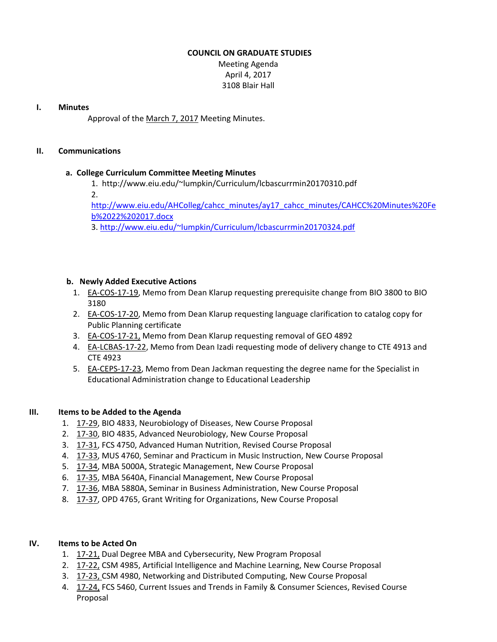### **COUNCIL ON GRADUATE STUDIES**

Meeting Agenda April 4, 2017 3108 Blair Hall

### **I. Minutes**

Approval of the [March](http://castle.eiu.edu/eiucgs/currentminutes/Minutes3-7-17.pdf) 7, 2017 Meeting Minutes.

### **II. Communications**

# **a. College Curriculum Committee Meeting Minutes**

- 1. <http://www.eiu.edu/~lumpkin/Curriculum/lcbascurrmin20170310.pdf>
- 2.

[http://www.eiu.edu/AHColleg/cahcc\\_minutes/ay17\\_cahcc\\_minutes/CAHCC%20Minutes%20Fe](http://www.eiu.edu/AHColleg/cahcc_minutes/ay17_cahcc_minutes/CAHCC%20Minutes%20Feb%2022%202017.docx) b%2022%202017.docx

3. <http://www.eiu.edu/~lumpkin/Curriculum/lcbascurrmin20170324.pdf>

### **b. Newly Added Executive Actions**

- 1. EA‐[COS](http://castle.eiu.edu/eiucgs/exec-actions/EA-COS-17-19.pdf)‐17‐19, Memo from Dean Klarup requesting prerequisite change from BIO 3800 to BIO 3180
- 2. EA‐[COS](http://castle.eiu.edu/eiucgs/exec-actions/EA-COS-17-20.pdf)‐17‐20, Memo from Dean Klarup requesting language clarification to catalog copy for Public Planning certificate
- 3. EA-[COS](http://castle.eiu.edu/eiucgs/exec-actions/EA-COS-17-21.pdf)-17-21, Memo from Dean Klarup requesting removal of GEO 4892
- 4. EA‐[LCBAS](http://castle.eiu.edu/eiucgs/exec-actions/EA-LCBAS-17-22.pdf)‐17‐22, Memo from Dean Izadi requesting mode of delivery change to CTE 4913 and CTE 4923
- 5. EA-[CEPS](http://castle.eiu.edu/eiucgs/exec-actions/EA-CEPS-17-23.pdf)-17-23, Memo from Dean Jackman requesting the degree name for the Specialist in Educational Administration change to Educational Leadership

# **III. Items to be Added to the Agenda**

- 1. [17](http://castle.eiu.edu/eiucgs/currentagendaitems/agenda17-29.pdf)‐29, BIO 4833, Neurobiology of Diseases, New Course Proposal
- 2. [17](http://castle.eiu.edu/eiucgs/currentagendaitems/agenda17-30.pdf)‐30, BIO 4835, Advanced Neurobiology, New Course Proposal
- 3. 17‐[31,](http://castle.eiu.edu/eiucgs/currentagendaitems/agenda17-31.pdf) FCS 4750, Advanced Human Nutrition, Revised Course Proposal
- 4. [17](http://castle.eiu.edu/eiucgs/currentagendaitems/agenda17-33.pdf)‐33, MUS 4760, Seminar and Practicum in Music Instruction, New Course Proposal
- 5. [17](http://castle.eiu.edu/eiucgs/currentagendaitems/agenda17-34.pdf)‐34, MBA 5000A, Strategic Management, New Course Proposal
- 6. 17‐[35,](http://castle.eiu.edu/eiucgs/currentagendaitems/agenda17-35.pdf) MBA 5640A, Financial Management, New Course Proposal
- 7. [17](http://castle.eiu.edu/eiucgs/currentagendaitems/agenda17-36.pdf)‐36, MBA 5880A, Seminar in Business Administration, New Course Proposal
- 8. 17-[37,](http://castle.eiu.edu/eiucgs/currentagendaitems/agenda17-37.pdf) OPD 4765, Grant Writing for Organizations, New Course Proposal

# **IV. Items to be Acted On**

- 1. [17](http://castle.eiu.edu/eiucgs/currentagendaitems/agenda17-21.pdf)‐21, Dual Degree MBA and Cybersecurity, New Program Proposal
- 2. [17](http://castle.eiu.edu/eiucgs/currentagendaitems/agenda17-22.pdf)-22, CSM 4985, Artificial Intelligence and Machine Learning, New Course Proposal
- 3. 17‐[23,](http://castle.eiu.edu/eiucgs/currentagendaitems/agenda17-23.pdf) CSM 4980, Networking and Distributed Computing, New Course Proposal
- 4. [17](http://castle.eiu.edu/eiucgs/currentagendaitems/agenda17-24.pdf)-24, FCS 5460, Current Issues and Trends in Family & Consumer Sciences, Revised Course Proposal